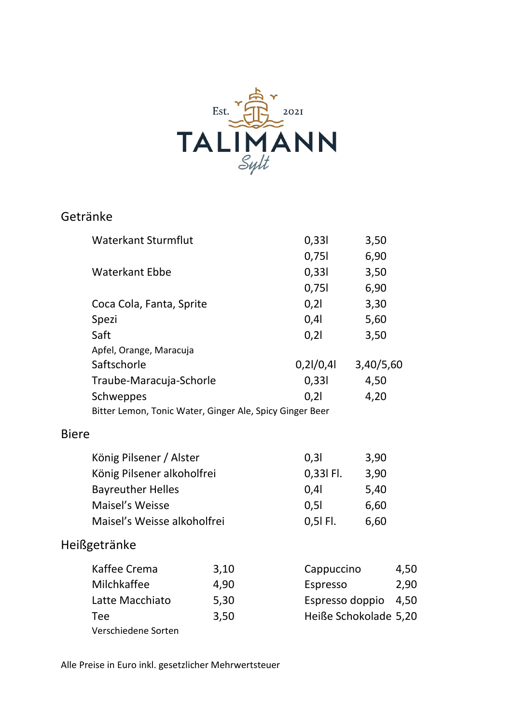

## Getränke

|              | <b>Waterkant Sturmflut</b>                               |           | 0,331      | 3,50                  |  |
|--------------|----------------------------------------------------------|-----------|------------|-----------------------|--|
|              |                                                          |           | 0,751      | 6,90                  |  |
|              | <b>Waterkant Ebbe</b>                                    |           | 0,331      | 3,50                  |  |
|              |                                                          |           | 0,751      | 6,90                  |  |
|              | Coca Cola, Fanta, Sprite                                 |           | 0,21       | 3,30                  |  |
|              | Spezi                                                    | 0,41      | 5,60       |                       |  |
|              | Saft                                                     | 0,21      | 3,50       |                       |  |
|              | Apfel, Orange, Maracuja                                  |           |            |                       |  |
|              | Saftschorle                                              | 0,21/0,41 | 3,40/5,60  |                       |  |
|              | Traube-Maracuja-Schorle                                  | 0,331     | 4,50       |                       |  |
|              | Schweppes                                                |           | 0,21       | 4,20                  |  |
|              | Bitter Lemon, Tonic Water, Ginger Ale, Spicy Ginger Beer |           |            |                       |  |
| <b>Biere</b> |                                                          |           |            |                       |  |
|              | König Pilsener / Alster                                  |           | 0,31       | 3,90                  |  |
|              | König Pilsener alkoholfrei                               |           | 0,33l Fl.  | 3,90                  |  |
|              | <b>Bayreuther Helles</b>                                 | 0,4       | 5,40       |                       |  |
|              | Maisel's Weisse                                          | 0,51      | 6,60       |                       |  |
|              | Maisel's Weisse alkoholfrei                              |           | 0,5l Fl.   | 6,60                  |  |
|              | Heißgetränke                                             |           |            |                       |  |
|              | Kaffee Crema                                             | 3,10      | Cappuccino | 4,50                  |  |
|              | Milchkaffee                                              | 4,90      | Espresso   | 2,90                  |  |
|              | Latte Macchiato                                          | 5,30      |            | Espresso doppio 4,50  |  |
|              | Tee<br>3,50                                              |           |            | Heiße Schokolade 5,20 |  |
|              | Verschiedene Sorten                                      |           |            |                       |  |

Alle Preise in Euro inkl. gesetzlicher Mehrwertsteuer